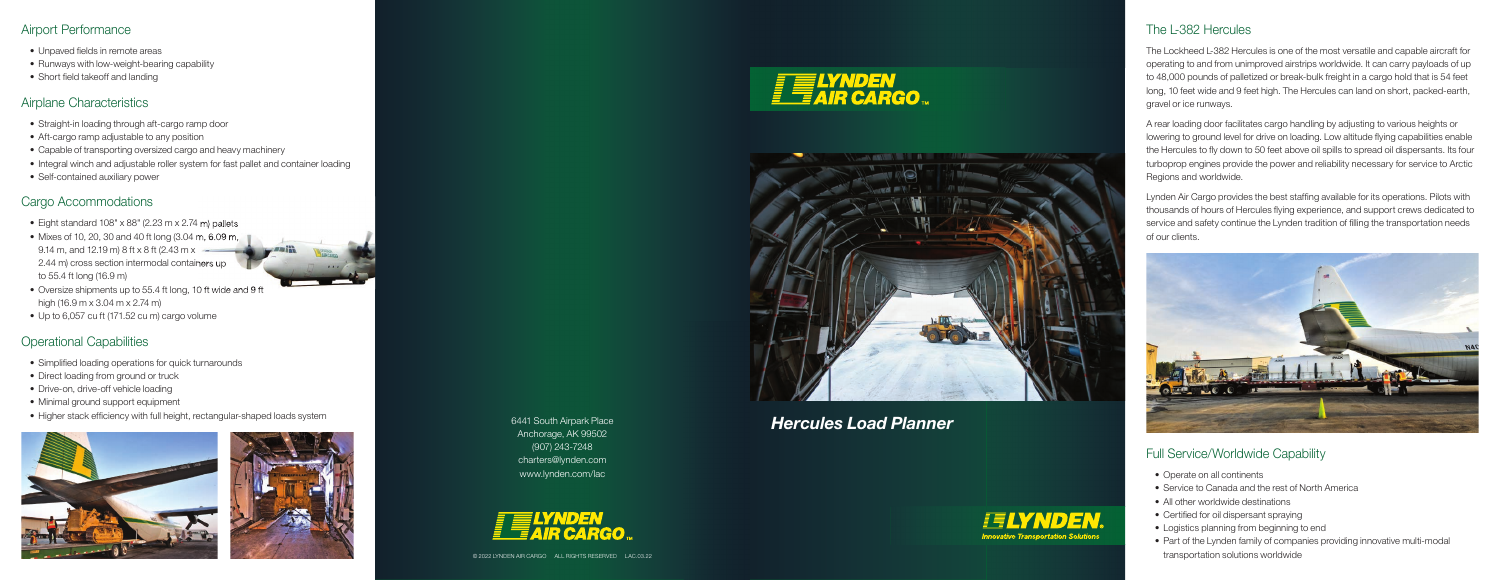### Airport Performance

- Unpaved fields in remote areas
- Runways with low-weight-bearing capability
- Short field takeoff and landing

## Airplane Characteristics

- Straight-in loading through aft-cargo ramp door
- Aft-cargo ramp adjustable to any position
- Capable of transporting oversized cargo and heavy machinery
- Integral winch and adjustable roller system for fast pallet and container loading
- Self-contained auxiliary power

- Eight standard  $108" \times 88"$  (2.23 m  $\times$  2.74 m) pallets
- Mixes of 10, 20, 30 and 40 ft long (3.04 m, 6.09 m, 9.14 m, and 12.19 m) 8 ft x 8 ft (2.43 m x  $-$ 2.44 m) cross section intermodal containers up to 55.4 ft long (16.9 m)
- Oversize shipments up to 55.4 ft long, 10 ft wide and 9 ft high (16.9 m x 3.04 m x 2.74 m)
- Up to 6,057 cu ft (171.52 cu m) cargo volume

# Cargo Accommodations

# Operational Capabilities

- Simplified loading operations for quick turnarounds
- Direct loading from ground or truck
- Drive-on, drive-off vehicle loading
- Minimal ground support equipment
- Higher stack efficiency with full height, rectangular-shaped loads system











Lynden Air Cargo provides the best staffing available for its operations. Pilots with thousands of hours of Hercules flying experience, and support crews dedicated to service and safety continue the Lynden tradition of filling the transportation needs of our clients.



*Hercules Load Planner* 6441 South Airpark Place Anchorage, AK 99502 (907) 243-7248 charters@lynden.com www.lynden.com/lac



### The L-382 Hercules

The Lockheed L-382 Hercules is one of the most versatile and capable aircraft for operating to and from unimproved airstrips worldwide. It can carry payloads of up to 48,000 pounds of palletized or break-bulk freight in a cargo hold that is 54 feet long, 10 feet wide and 9 feet high. The Hercules can land on short, packed-earth, gravel or ice runways.

A rear loading door facilitates cargo handling by adjusting to various heights or lowering to ground level for drive on loading. Low altitude flying capabilities enable the Hercules to fly down to 50 feet above oil spills to spread oil dispersants. Its four turboprop engines provide the power and reliability necessary for service to Arctic Regions and worldwide.

## Full Service/Worldwide Capability

- Operate on all continents
- Service to Canada and the rest of North America
- All other worldwide destinations
- Certified for oil dispersant spraying
- Logistics planning from beginning to end
- Part of the Lynden family of companies providing innovative multi-modal transportation solutions worldwide